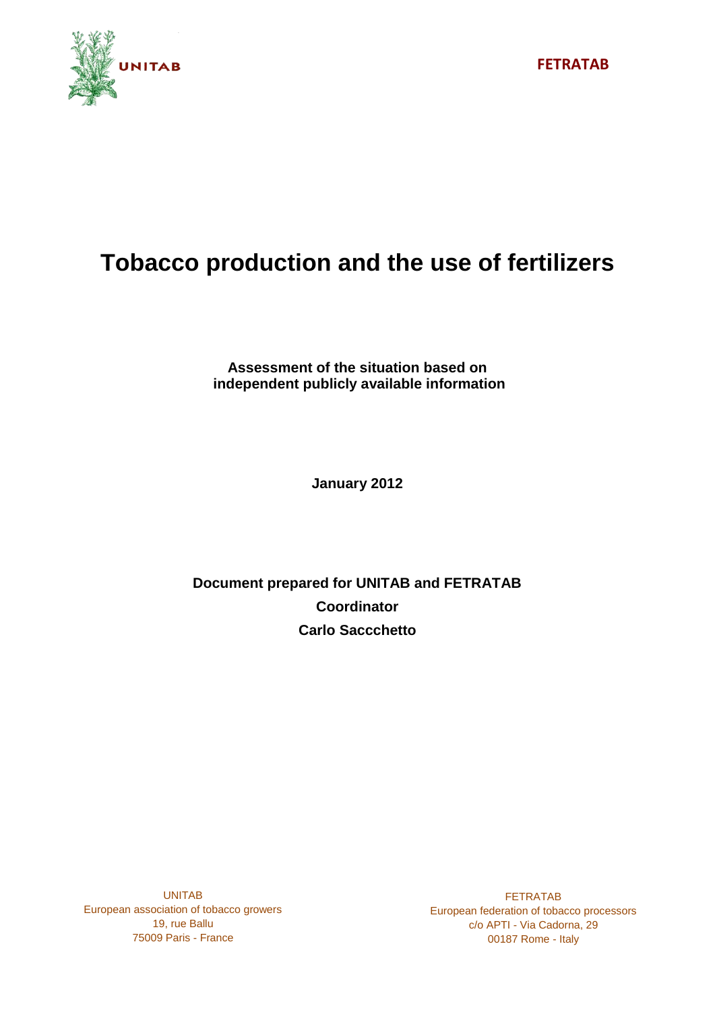

# **Tobacco production and the use of fertilizers**

**Assessment of the situation based on independent publicly available information**

**January 2012**

# **Document prepared for UNITAB and FETRATAB Coordinator Carlo Saccchetto**

UNITAB European association of tobacco growers 19, rue Ballu 75009 Paris - France

FETRATAB European federation of tobacco processors c/o APTI - Via Cadorna, 29 00187 Rome - Italy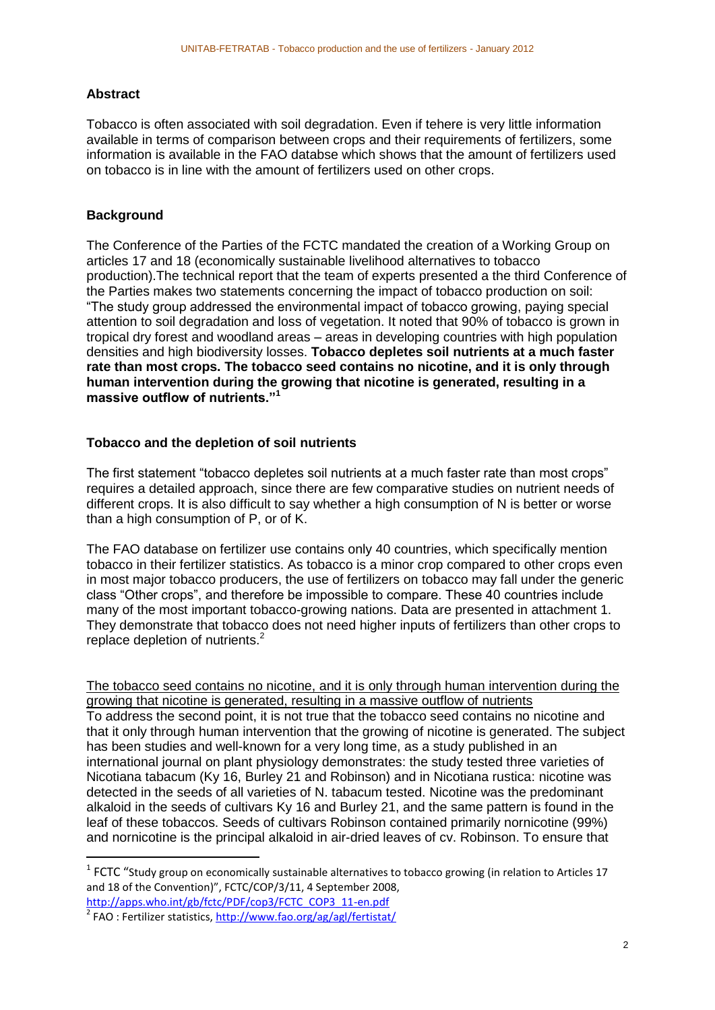#### **Abstract**

Tobacco is often associated with soil degradation. Even if tehere is very little information available in terms of comparison between crops and their requirements of fertilizers, some information is available in the FAO databse which shows that the amount of fertilizers used on tobacco is in line with the amount of fertilizers used on other crops.

# **Background**

The Conference of the Parties of the FCTC mandated the creation of a Working Group on articles 17 and 18 (economically sustainable livelihood alternatives to tobacco production).The technical report that the team of experts presented a the third Conference of the Parties makes two statements concerning the impact of tobacco production on soil: "The study group addressed the environmental impact of tobacco growing, paying special attention to soil degradation and loss of vegetation. It noted that 90% of tobacco is grown in tropical dry forest and woodland areas – areas in developing countries with high population densities and high biodiversity losses. **Tobacco depletes soil nutrients at a much faster rate than most crops. The tobacco seed contains no nicotine, and it is only through human intervention during the growing that nicotine is generated, resulting in a massive outflow of nutrients."<sup>1</sup>**

#### **Tobacco and the depletion of soil nutrients**

The first statement "tobacco depletes soil nutrients at a much faster rate than most crops" requires a detailed approach, since there are few comparative studies on nutrient needs of different crops. It is also difficult to say whether a high consumption of N is better or worse than a high consumption of P, or of K.

The FAO database on fertilizer use contains only 40 countries, which specifically mention tobacco in their fertilizer statistics. As tobacco is a minor crop compared to other crops even in most major tobacco producers, the use of fertilizers on tobacco may fall under the generic class "Other crops", and therefore be impossible to compare. These 40 countries include many of the most important tobacco-growing nations. Data are presented in attachment 1. They demonstrate that tobacco does not need higher inputs of fertilizers than other crops to replace depletion of nutrients.<sup>2</sup>

The tobacco seed contains no nicotine, and it is only through human intervention during the growing that nicotine is generated, resulting in a massive outflow of nutrients To address the second point, it is not true that the tobacco seed contains no nicotine and that it only through human intervention that the growing of nicotine is generated. The subject has been studies and well-known for a very long time, as a study published in an international journal on plant physiology demonstrates: the study tested three varieties of Nicotiana tabacum (Ky 16, Burley 21 and Robinson) and in Nicotiana rustica: nicotine was detected in the seeds of all varieties of N. tabacum tested. Nicotine was the predominant alkaloid in the seeds of cultivars Ky 16 and Burley 21, and the same pattern is found in the leaf of these tobaccos. Seeds of cultivars Robinson contained primarily nornicotine (99%) and nornicotine is the principal alkaloid in air-dried leaves of cv. Robinson. To ensure that

[http://apps.who.int/gb/fctc/PDF/cop3/FCTC\\_COP3\\_11-en.pdf](http://apps.who.int/gb/fctc/PDF/cop3/FCTC_COP3_11-en.pdf)

**.** 

 $<sup>1</sup>$  FCTC "Study group on economically sustainable alternatives to tobacco growing (in relation to Articles 17</sup> and 18 of the Convention)", FCTC/COP/3/11, 4 September 2008,

<sup>&</sup>lt;sup>2</sup> FAO : Fertilizer statistics,<http://www.fao.org/ag/agl/fertistat/>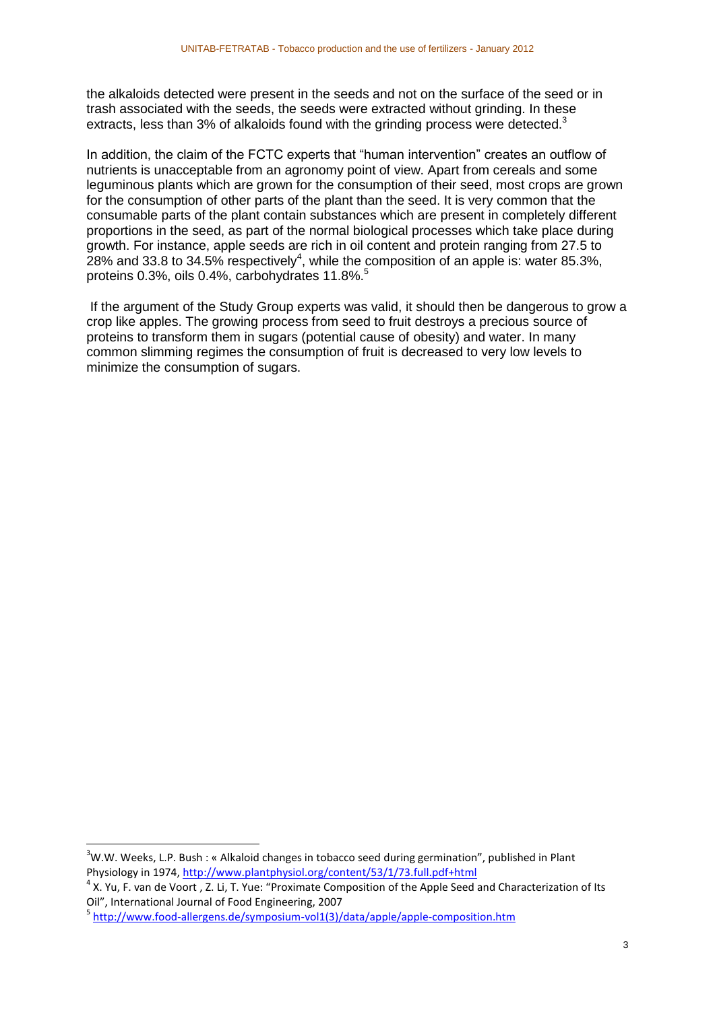the alkaloids detected were present in the seeds and not on the surface of the seed or in trash associated with the seeds, the seeds were extracted without grinding. In these extracts, less than 3% of alkaloids found with the grinding process were detected. $3$ 

In addition, the claim of the FCTC experts that "human intervention" creates an outflow of nutrients is unacceptable from an agronomy point of view. Apart from cereals and some leguminous plants which are grown for the consumption of their seed, most crops are grown for the consumption of other parts of the plant than the seed. It is very common that the consumable parts of the plant contain substances which are present in completely different proportions in the seed, as part of the normal biological processes which take place during growth. For instance, apple seeds are rich in oil content and protein ranging from 27.5 to 28% and 33.8 to 34.5% respectively<sup>4</sup>, while the composition of an apple is: water 85.3%, proteins 0.3%, oils 0.4%, carbohydrates 11.8%.<sup>5</sup>

If the argument of the Study Group experts was valid, it should then be dangerous to grow a crop like apples. The growing process from seed to fruit destroys a precious source of proteins to transform them in sugars (potential cause of obesity) and water. In many common slimming regimes the consumption of fruit is decreased to very low levels to minimize the consumption of sugars.

 $\overline{a}$ 

 $3$ W.W. Weeks, L.P. Bush : « Alkaloid changes in tobacco seed during germination", published in Plant Physiology in 1974,<http://www.plantphysiol.org/content/53/1/73.full.pdf+html>

 $4$  X. Yu, F. van de Voort , Z. Li, T. Yue: "Proximate Composition of the Apple Seed and Characterization of Its Oil", International Journal of Food Engineering, 2007

<sup>&</sup>lt;sup>5</sup> [http://www.food-allergens.de/symposium-vol1\(3\)/data/apple/apple-composition.htm](http://www.food-allergens.de/symposium-vol1(3)/data/apple/apple-composition.htm)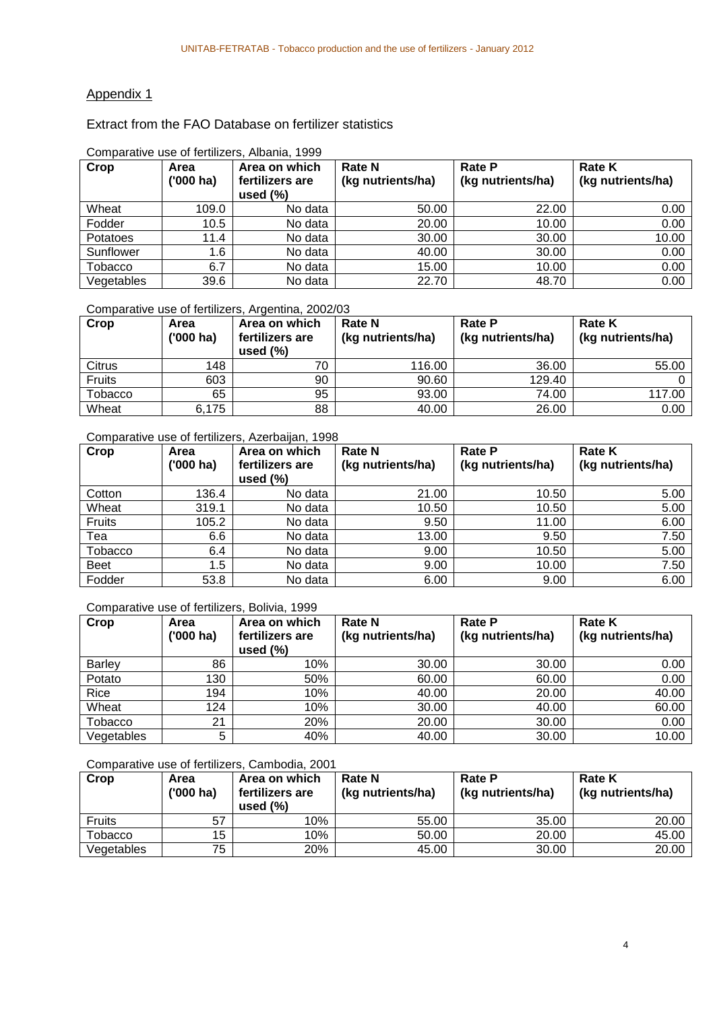# Appendix 1

#### Extract from the FAO Database on fertilizer statistics

| Crop           | Area<br>$(000)$ ha) | Area on which<br>fertilizers are<br>used $(\%)$ | <b>Rate N</b><br>(kg nutrients/ha) | <b>Rate P</b><br>(kg nutrients/ha) | <b>Rate K</b><br>(kg nutrients/ha) |
|----------------|---------------------|-------------------------------------------------|------------------------------------|------------------------------------|------------------------------------|
| Wheat          | 109.0               | No data                                         | 50.00                              | 22.00                              | 0.00                               |
| Fodder         | 10.5                | No data                                         | 20.00                              | 10.00                              | 0.00                               |
| Potatoes       | 11.4                | No data                                         | 30.00                              | 30.00                              | 10.00                              |
| Sunflower      | 1.6                 | No data                                         | 40.00                              | 30.00                              | 0.00                               |
| <b>Tobacco</b> | 6.7                 | No data                                         | 15.00                              | 10.00                              | 0.00                               |
| Vegetables     | 39.6                | No data                                         | 22.70                              | 48.70                              | 0.00                               |

#### Comparative use of fertilizers, Albania, 1999

#### Comparative use of fertilizers, Argentina, 2002/03

| Crop           | Area<br>$(000)$ ha) | Area on which<br>fertilizers are<br>used $(\%)$ | <b>Rate N</b><br>(kg nutrients/ha) | <b>Rate P</b><br>(kg nutrients/ha) | <b>Rate K</b><br>(kg nutrients/ha) |
|----------------|---------------------|-------------------------------------------------|------------------------------------|------------------------------------|------------------------------------|
| Citrus         | 148                 | 70                                              | 116.00                             | 36.00                              | 55.00                              |
| Fruits         | 603                 | 90                                              | 90.60                              | 129.40                             |                                    |
| <b>Tobacco</b> | 65                  | 95                                              | 93.00                              | 74.00                              | 117.00                             |
| Wheat          | 6,175               | 88                                              | 40.00                              | 26.00                              | 0.00                               |

#### Comparative use of fertilizers, Azerbaijan, 1998

| Crop           | Area<br>$(000)$ ha) | Area on which<br>fertilizers are<br>used $(\%)$ | <b>Rate N</b><br>(kg nutrients/ha) | <b>Rate P</b><br>(kg nutrients/ha) | <b>Rate K</b><br>(kg nutrients/ha) |
|----------------|---------------------|-------------------------------------------------|------------------------------------|------------------------------------|------------------------------------|
| Cotton         | 136.4               | No data                                         | 21.00                              | 10.50                              | 5.00                               |
| Wheat          | 319.1               | No data                                         | 10.50                              | 10.50                              | 5.00                               |
| Fruits         | 105.2               | No data                                         | 9.50                               | 11.00                              | 6.00                               |
| Tea            | 6.6                 | No data                                         | 13.00                              | 9.50                               | 7.50                               |
| <b>Tobacco</b> | 6.4                 | No data                                         | 9.00                               | 10.50                              | 5.00                               |
| <b>Beet</b>    | 1.5                 | No data                                         | 9.00                               | 10.00                              | 7.50                               |
| Fodder         | 53.8                | No data                                         | 6.00                               | 9.00                               | 6.00                               |

Comparative use of fertilizers, Bolivia, 1999

| Crop           | Area<br>$(000)$ ha) | Area on which<br>fertilizers are<br>used $(\%)$ | <b>Rate N</b><br>(kg nutrients/ha) | <b>Rate P</b><br>(kg nutrients/ha) | <b>Rate K</b><br>(kg nutrients/ha) |
|----------------|---------------------|-------------------------------------------------|------------------------------------|------------------------------------|------------------------------------|
| <b>Barley</b>  | 86                  | 10%                                             | 30.00                              | 30.00                              | 0.00                               |
| Potato         | 130                 | 50%                                             | 60.00                              | 60.00                              | 0.00                               |
| Rice           | 194                 | 10%                                             | 40.00                              | 20.00                              | 40.00                              |
| Wheat          | 124                 | 10%                                             | 30.00                              | 40.00                              | 60.00                              |
| <b>Tobacco</b> | 21                  | 20%                                             | 20.00                              | 30.00                              | 0.00                               |
| Vegetables     | 5                   | 40%                                             | 40.00                              | 30.00                              | 10.00                              |

#### Comparative use of fertilizers, Cambodia, 2001

| Crop          | Area<br>$(000)$ ha) | Area on which<br>fertilizers are<br>used $(\%)$ | <b>Rate N</b><br>(kg nutrients/ha) | <b>Rate P</b><br>(kg nutrients/ha) | <b>Rate K</b><br>(kg nutrients/ha) |
|---------------|---------------------|-------------------------------------------------|------------------------------------|------------------------------------|------------------------------------|
| <b>Fruits</b> | 57                  | 10%                                             | 55.00                              | 35.00                              | 20.00                              |
| Tobacco       | 15                  | 10%                                             | 50.00                              | 20.00                              | 45.00                              |
| Vegetables    | 75                  | 20%                                             | 45.00                              | 30.00                              | 20.00                              |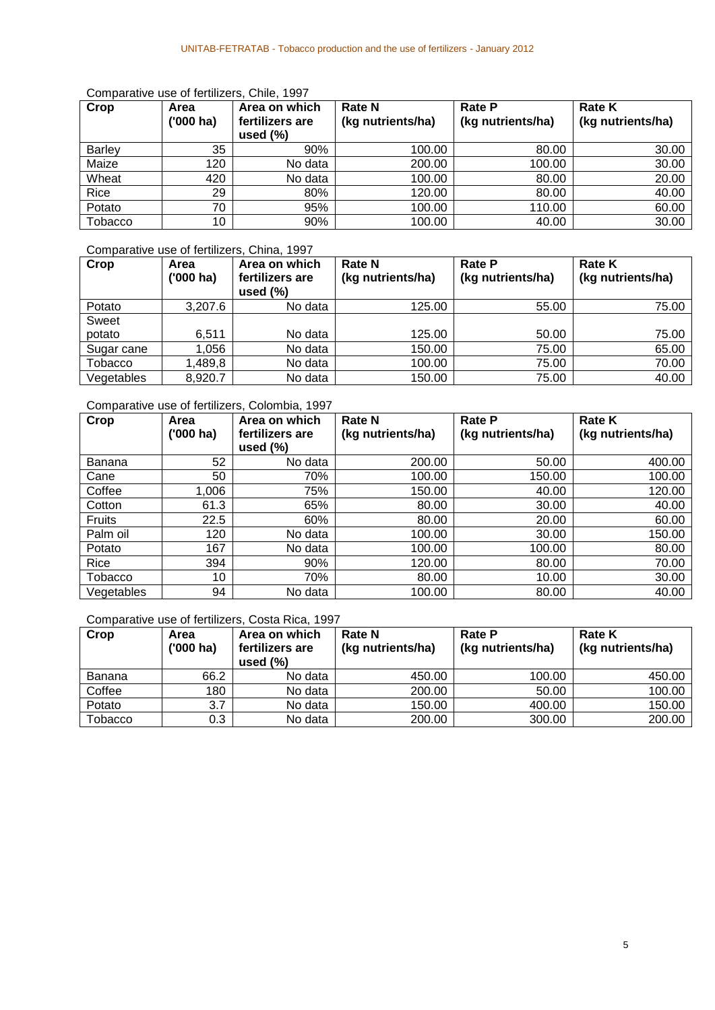#### Comparative use of fertilizers, Chile, 1997

| Crop          | Area<br>$(000)$ ha) | Area on which<br>fertilizers are<br>used $(\%)$ | <b>Rate N</b><br>(kg nutrients/ha) | <b>Rate P</b><br>(kg nutrients/ha) | <b>Rate K</b><br>(kg nutrients/ha) |
|---------------|---------------------|-------------------------------------------------|------------------------------------|------------------------------------|------------------------------------|
| <b>Barley</b> | 35                  | 90%                                             | 100.00                             | 80.00                              | 30.00                              |
| Maize         | 120                 | No data                                         | 200.00                             | 100.00                             | 30.00                              |
| Wheat         | 420                 | No data                                         | 100.00                             | 80.00                              | 20.00                              |
| Rice          | 29                  | 80%                                             | 120.00                             | 80.00                              | 40.00                              |
| Potato        | 70                  | 95%                                             | 100.00                             | 110.00                             | 60.00                              |
| Tobacco       | 10                  | 90%                                             | 100.00                             | 40.00                              | 30.00                              |

### Comparative use of fertilizers, China, 1997

| Crop       | Area<br>$(000)$ ha) | Area on which<br>fertilizers are<br>used $(\%)$ | <b>Rate N</b><br>(kg nutrients/ha) | <b>Rate P</b><br>(kg nutrients/ha) | <b>Rate K</b><br>(kg nutrients/ha) |
|------------|---------------------|-------------------------------------------------|------------------------------------|------------------------------------|------------------------------------|
| Potato     | 3.207.6             | No data                                         | 125.00                             | 55.00                              | 75.00                              |
| Sweet      |                     |                                                 |                                    |                                    |                                    |
| potato     | 6.511               | No data                                         | 125.00                             | 50.00                              | 75.00                              |
| Sugar cane | .056                | No data                                         | 150.00                             | 75.00                              | 65.00                              |
| Tobacco    | ,489,8              | No data                                         | 100.00                             | 75.00                              | 70.00                              |
| Vegetables | 8,920.7             | No data                                         | 150.00                             | 75.00                              | 40.00                              |

### Comparative use of fertilizers, Colombia, 1997

| Crop       | Area<br>('000 ha) | Area on which<br>fertilizers are<br>used $(\% )$ | <b>Rate N</b><br>(kg nutrients/ha) | <b>Rate P</b><br>(kg nutrients/ha) | <b>Rate K</b><br>(kg nutrients/ha) |
|------------|-------------------|--------------------------------------------------|------------------------------------|------------------------------------|------------------------------------|
| Banana     | 52                | No data                                          | 200.00                             | 50.00                              | 400.00                             |
| Cane       | 50                | 70%                                              | 100.00                             | 150.00                             | 100.00                             |
| Coffee     | 1,006             | 75%                                              | 150.00                             | 40.00                              | 120.00                             |
| Cotton     | 61.3              | 65%                                              | 80.00                              | 30.00                              | 40.00                              |
| Fruits     | 22.5              | 60%                                              | 80.00                              | 20.00                              | 60.00                              |
| Palm oil   | 120               | No data                                          | 100.00                             | 30.00                              | 150.00                             |
| Potato     | 167               | No data                                          | 100.00                             | 100.00                             | 80.00                              |
| Rice       | 394               | 90%                                              | 120.00                             | 80.00                              | 70.00                              |
| Tobacco    | 10                | 70%                                              | 80.00                              | 10.00                              | 30.00                              |
| Vegetables | 94                | No data                                          | 100.00                             | 80.00                              | 40.00                              |

Comparative use of fertilizers, Costa Rica, 1997

| Crop    | Area<br>$(000)$ ha) | Area on which<br>fertilizers are<br>used $(\%)$ | <b>Rate N</b><br>(kg nutrients/ha) | <b>Rate P</b><br>(kg nutrients/ha) | <b>Rate K</b><br>(kg nutrients/ha) |
|---------|---------------------|-------------------------------------------------|------------------------------------|------------------------------------|------------------------------------|
| Banana  | 66.2                | No data                                         | 450.00                             | 100.00                             | 450.00                             |
| Coffee  | 180                 | No data                                         | 200.00                             | 50.00                              | 100.00                             |
| Potato  | 3.7                 | No data                                         | 150.00                             | 400.00                             | 150.00                             |
| Tobacco | 0.3                 | No data                                         | 200.00                             | 300.00                             | 200.00                             |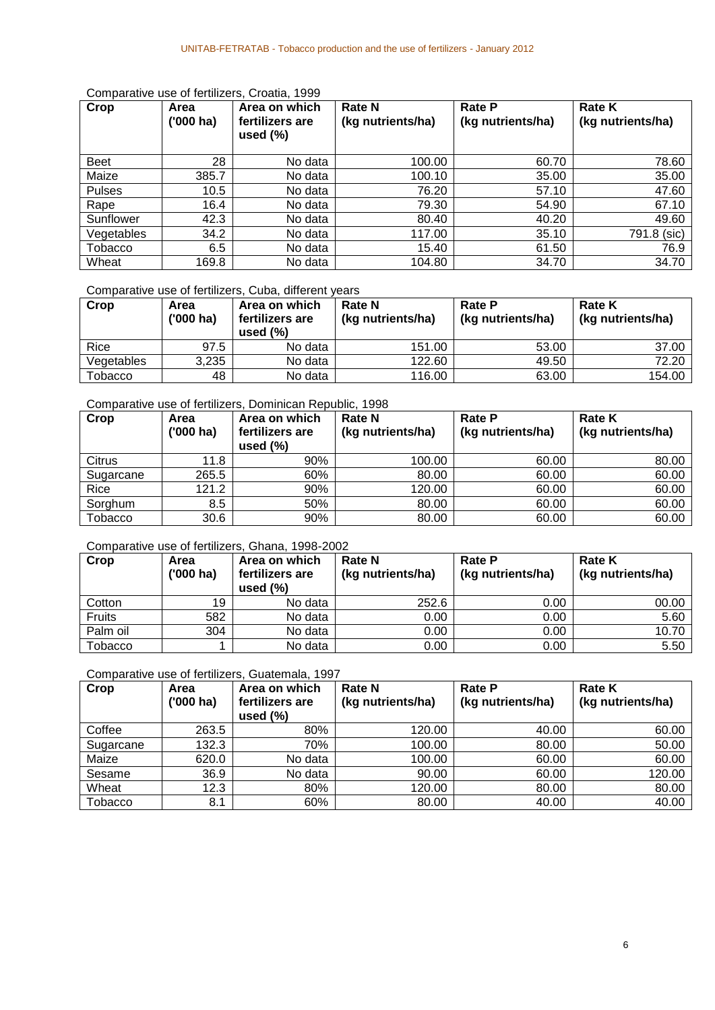| Crop          | Area<br>$(000)$ ha) | Area on which<br>fertilizers are<br>used $(\%)$ | <b>Rate N</b><br>(kg nutrients/ha) | <b>Rate P</b><br>(kg nutrients/ha) | <b>Rate K</b><br>(kg nutrients/ha) |
|---------------|---------------------|-------------------------------------------------|------------------------------------|------------------------------------|------------------------------------|
| <b>Beet</b>   | 28                  | No data                                         | 100.00                             | 60.70                              | 78.60                              |
| Maize         | 385.7               | No data                                         | 100.10                             | 35.00                              | 35.00                              |
| <b>Pulses</b> | 10.5                | No data                                         | 76.20                              | 57.10                              | 47.60                              |
| Rape          | 16.4                | No data                                         | 79.30                              | 54.90                              | 67.10                              |
| Sunflower     | 42.3                | No data                                         | 80.40                              | 40.20                              | 49.60                              |
| Vegetables    | 34.2                | No data                                         | 117.00                             | 35.10                              | 791.8 (sic)                        |
| Tobacco       | 6.5                 | No data                                         | 15.40                              | 61.50                              | 76.9                               |
| Wheat         | 169.8               | No data                                         | 104.80                             | 34.70                              | 34.70                              |

#### Comparative use of fertilizers, Croatia, 1999

#### Comparative use of fertilizers, Cuba, different years

| Crop       | Area<br>('000 ha) | Area on which<br>fertilizers are<br>used $(\%)$ | <b>Rate N</b><br>(kg nutrients/ha) | <b>Rate P</b><br>(kg nutrients/ha) | <b>Rate K</b><br>(kg nutrients/ha) |
|------------|-------------------|-------------------------------------------------|------------------------------------|------------------------------------|------------------------------------|
| Rice       | 97.5              | No data                                         | 151.00                             | 53.00                              | 37.00                              |
| Vegetables | 3,235             | No data                                         | 122.60                             | 49.50                              | 72.20                              |
| Tobacco    | 48                | No data                                         | 116.00                             | 63.00                              | 154.00                             |

# Comparative use of fertilizers, Dominican Republic, 1998

| Crop           | Area<br>$(000)$ ha) | Area on which<br>fertilizers are<br>used $(\%)$ | <b>Rate N</b><br>(kg nutrients/ha) | <b>Rate P</b><br>(kg nutrients/ha) | <b>Rate K</b><br>(kg nutrients/ha) |
|----------------|---------------------|-------------------------------------------------|------------------------------------|------------------------------------|------------------------------------|
| Citrus         | 11.8                | 90%                                             | 100.00                             | 60.00                              | 80.00                              |
| Sugarcane      | 265.5               | 60%                                             | 80.00                              | 60.00                              | 60.00                              |
| Rice           | 121.2               | 90%                                             | 120.00                             | 60.00                              | 60.00                              |
| Sorghum        | 8.5                 | 50%                                             | 80.00                              | 60.00                              | 60.00                              |
| <b>Tobacco</b> | 30.6                | 90%                                             | 80.00                              | 60.00                              | 60.00                              |

#### Comparative use of fertilizers, Ghana, 1998-2002

| Crop     | Area<br>$(000)$ ha) | Area on which<br>fertilizers are<br>used $(\%)$ | <b>Rate N</b><br>(kg nutrients/ha) | <b>Rate P</b><br>(kg nutrients/ha) | <b>Rate K</b><br>(kg nutrients/ha) |
|----------|---------------------|-------------------------------------------------|------------------------------------|------------------------------------|------------------------------------|
| Cotton   | 19                  | No data                                         | 252.6                              | 0.00                               | 00.00                              |
| Fruits   | 582                 | No data                                         | 0.00                               | 0.00                               | 5.60                               |
| Palm oil | 304                 | No data                                         | 0.00                               | 0.00                               | 10.70                              |
| Tobacco  |                     | No data                                         | 0.00                               | 0.00                               | 5.50                               |

#### Comparative use of fertilizers, Guatemala, 1997

| Crop           | Area<br>$(000)$ ha) | Area on which<br>fertilizers are<br>used $(\%)$ | <b>Rate N</b><br>(kg nutrients/ha) | <b>Rate P</b><br>(kg nutrients/ha) | <b>Rate K</b><br>(kg nutrients/ha) |
|----------------|---------------------|-------------------------------------------------|------------------------------------|------------------------------------|------------------------------------|
| Coffee         | 263.5               | 80%                                             | 120.00                             | 40.00                              | 60.00                              |
| Sugarcane      | 132.3               | 70%                                             | 100.00                             | 80.00                              | 50.00                              |
| Maize          | 620.0               | No data                                         | 100.00                             | 60.00                              | 60.00                              |
| Sesame         | 36.9                | No data                                         | 90.00                              | 60.00                              | 120.00                             |
| Wheat          | 12.3                | 80%                                             | 120.00                             | 80.00                              | 80.00                              |
| <b>Tobacco</b> | 8.1                 | 60%                                             | 80.00                              | 40.00                              | 40.00                              |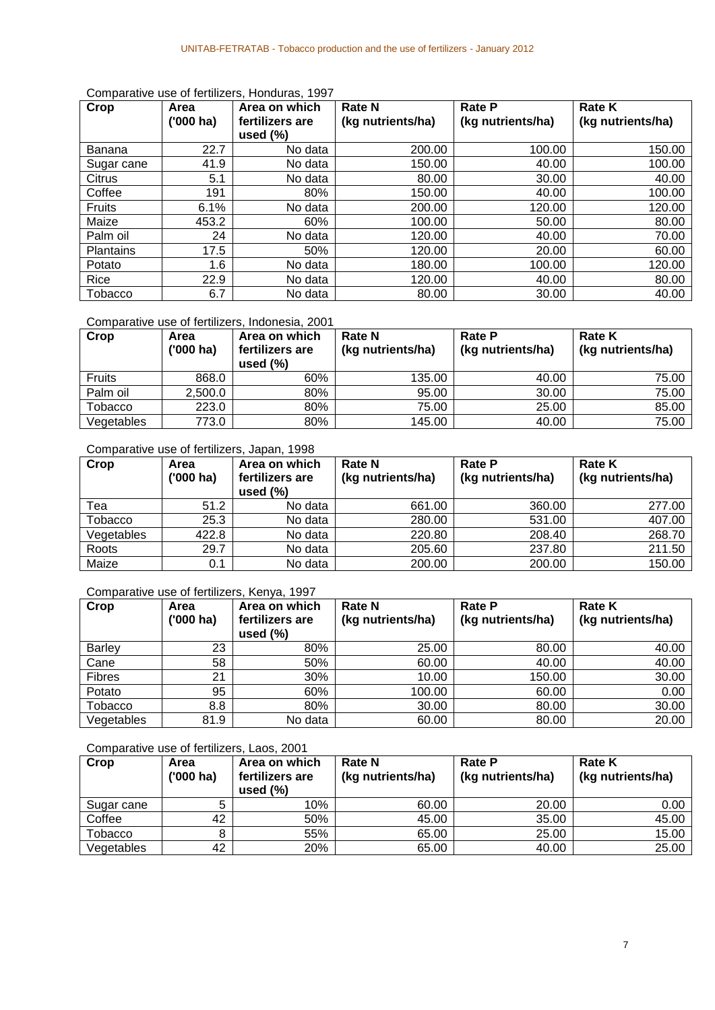| Crop             | Area      | Area on which   | <b>Rate N</b>     | <b>Rate P</b>     | <b>Rate K</b>     |
|------------------|-----------|-----------------|-------------------|-------------------|-------------------|
|                  | ('000 ha) | fertilizers are | (kg nutrients/ha) | (kg nutrients/ha) | (kg nutrients/ha) |
|                  |           | used $(\%)$     |                   |                   |                   |
| Banana           | 22.7      | No data         | 200.00            | 100.00            | 150.00            |
| Sugar cane       | 41.9      | No data         | 150.00            | 40.00             | 100.00            |
| Citrus           | 5.1       | No data         | 80.00             | 30.00             | 40.00             |
| Coffee           | 191       | 80%             | 150.00            | 40.00             | 100.00            |
| <b>Fruits</b>    | 6.1%      | No data         | 200.00            | 120.00            | 120.00            |
| Maize            | 453.2     | 60%             | 100.00            | 50.00             | 80.00             |
| Palm oil         | 24        | No data         | 120.00            | 40.00             | 70.00             |
| <b>Plantains</b> | 17.5      | 50%             | 120.00            | 20.00             | 60.00             |
| Potato           | 1.6       | No data         | 180.00            | 100.00            | 120.00            |
| Rice             | 22.9      | No data         | 120.00            | 40.00             | 80.00             |
| Tobacco          | 6.7       | No data         | 80.00             | 30.00             | 40.00             |

Comparative use of fertilizers, Honduras, 1997

Comparative use of fertilizers, Indonesia, 2001

| Crop           | Area<br>('000 ha) | Area on which<br>fertilizers are<br>used $(\%)$ | <b>Rate N</b><br>(kg nutrients/ha) | <b>Rate P</b><br>(kg nutrients/ha) | <b>Rate K</b><br>(kg nutrients/ha) |
|----------------|-------------------|-------------------------------------------------|------------------------------------|------------------------------------|------------------------------------|
| <b>Fruits</b>  | 868.0             | 60%                                             | 135.00                             | 40.00                              | 75.00                              |
| Palm oil       | 2.500.0           | 80%                                             | 95.00                              | 30.00                              | 75.00                              |
| <b>Tobacco</b> | 223.0             | 80%                                             | 75.00                              | 25.00                              | 85.00                              |
| Vegetables     | 773.0             | 80%                                             | 145.00                             | 40.00                              | 75.00                              |

Comparative use of fertilizers, Japan, 1998

| Crop       | Area<br>$(000)$ ha) | Area on which<br>fertilizers are<br>used $(\%)$ | <b>Rate N</b><br>(kg nutrients/ha) | <b>Rate P</b><br>(kg nutrients/ha) | <b>Rate K</b><br>(kg nutrients/ha) |
|------------|---------------------|-------------------------------------------------|------------------------------------|------------------------------------|------------------------------------|
| Tea        | 51.2                | No data                                         | 661.00                             | 360.00                             | 277.00                             |
| Tobacco    | 25.3                | No data                                         | 280.00                             | 531.00                             | 407.00                             |
| Vegetables | 422.8               | No data                                         | 220.80                             | 208.40                             | 268.70                             |
| Roots      | 29.7                | No data                                         | 205.60                             | 237.80                             | 211.50                             |
| Maize      | 0.1                 | No data                                         | 200.00                             | 200.00                             | 150.00                             |

#### Comparative use of fertilizers, Kenya, 1997

| Crop           | Area<br>$(000)$ ha) | Area on which<br>fertilizers are<br>used $(\%)$ | <b>Rate N</b><br>(kg nutrients/ha) | <b>Rate P</b><br>(kg nutrients/ha) | <b>Rate K</b><br>(kg nutrients/ha) |
|----------------|---------------------|-------------------------------------------------|------------------------------------|------------------------------------|------------------------------------|
| <b>Barley</b>  | 23                  | 80%                                             | 25.00                              | 80.00                              | 40.00                              |
| Cane           | 58                  | 50%                                             | 60.00                              | 40.00                              | 40.00                              |
| <b>Fibres</b>  | 21                  | 30%                                             | 10.00                              | 150.00                             | 30.00                              |
| Potato         | 95                  | 60%                                             | 100.00                             | 60.00                              | 0.00                               |
| <b>Tobacco</b> | 8.8                 | 80%                                             | 30.00                              | 80.00                              | 30.00                              |
| Vegetables     | 81.9                | No data                                         | 60.00                              | 80.00                              | 20.00                              |

Comparative use of fertilizers, Laos, 2001

| Crop       | Area<br>$(000)$ ha) | Area on which<br>fertilizers are<br>used $(\%)$ | <b>Rate N</b><br>(kg nutrients/ha) | <b>Rate P</b><br>(kg nutrients/ha) | <b>Rate K</b><br>(kg nutrients/ha) |
|------------|---------------------|-------------------------------------------------|------------------------------------|------------------------------------|------------------------------------|
| Sugar cane |                     | 10%                                             | 60.00                              | 20.00                              | 0.00                               |
| Coffee     | 42                  | 50%                                             | 45.00                              | 35.00                              | 45.00                              |
| Tobacco    |                     | 55%                                             | 65.00                              | 25.00                              | 15.00                              |
| Vegetables | 42                  | 20%                                             | 65.00                              | 40.00                              | 25.00                              |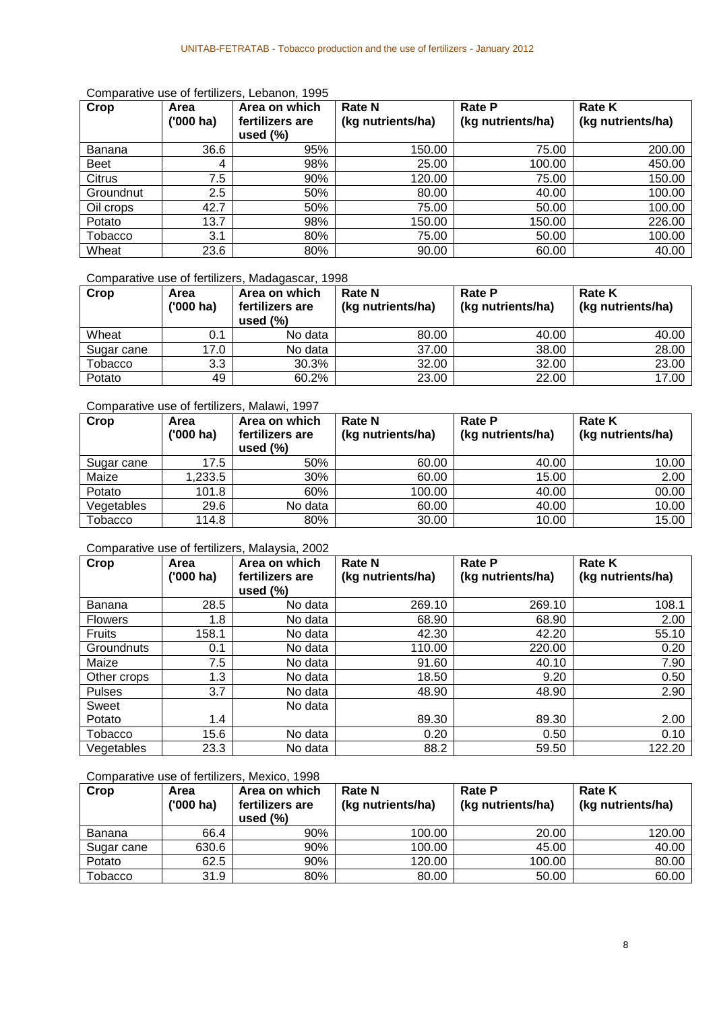| Crop        | Area<br>('000 ha) | Area on which<br>fertilizers are<br>used $(\%)$ | <b>Rate N</b><br>(kg nutrients/ha) | <b>Rate P</b><br>(kg nutrients/ha) | <b>Rate K</b><br>(kg nutrients/ha) |
|-------------|-------------------|-------------------------------------------------|------------------------------------|------------------------------------|------------------------------------|
| Banana      | 36.6              | 95%                                             | 150.00                             | 75.00                              | 200.00                             |
| <b>Beet</b> | 4                 | 98%                                             | 25.00                              | 100.00                             | 450.00                             |
| Citrus      | 7.5               | 90%                                             | 120.00                             | 75.00                              | 150.00                             |
| Groundnut   | 2.5               | 50%                                             | 80.00                              | 40.00                              | 100.00                             |
| Oil crops   | 42.7              | 50%                                             | 75.00                              | 50.00                              | 100.00                             |
| Potato      | 13.7              | 98%                                             | 150.00                             | 150.00                             | 226.00                             |
| Tobacco     | 3.1               | 80%                                             | 75.00                              | 50.00                              | 100.00                             |
| Wheat       | 23.6              | 80%                                             | 90.00                              | 60.00                              | 40.00                              |

#### Comparative use of fertilizers, Lebanon, 1995

Comparative use of fertilizers, Madagascar, 1998

| Crop       | Area<br>$(000)$ ha) | Area on which<br>fertilizers are<br>used $(\%)$ | <b>Rate N</b><br>(kg nutrients/ha) | <b>Rate P</b><br>(kg nutrients/ha) | <b>Rate K</b><br>(kg nutrients/ha) |
|------------|---------------------|-------------------------------------------------|------------------------------------|------------------------------------|------------------------------------|
| Wheat      | 0.1                 | No data                                         | 80.00                              | 40.00                              | 40.00                              |
| Sugar cane | 17.0                | No data                                         | 37.00                              | 38.00                              | 28.00                              |
| Tobacco    | 3.3                 | 30.3%                                           | 32.00                              | 32.00                              | 23.00                              |
| Potato     | 49                  | 60.2%                                           | 23.00                              | 22.00                              | 17.00                              |

#### Comparative use of fertilizers, Malawi, 1997

| Crop       | Area<br>$(000)$ ha) | Area on which<br>fertilizers are<br>used $(\% )$ | <b>Rate N</b><br>(kg nutrients/ha) | <b>Rate P</b><br>(kg nutrients/ha) | <b>Rate K</b><br>(kg nutrients/ha) |
|------------|---------------------|--------------------------------------------------|------------------------------------|------------------------------------|------------------------------------|
| Sugar cane | 17.5                | 50%                                              | 60.00                              | 40.00                              | 10.00                              |
| Maize      | ,233.5              | 30%                                              | 60.00                              | 15.00                              | 2.00                               |
| Potato     | 101.8               | 60%                                              | 100.00                             | 40.00                              | 00.00                              |
| Vegetables | 29.6                | No data                                          | 60.00                              | 40.00                              | 10.00                              |
| Tobacco    | 114.8               | 80%                                              | 30.00                              | 10.00                              | 15.00                              |

#### Comparative use of fertilizers, Malaysia, 2002

| Crop           | Area<br>$(000)$ ha) | Area on which<br>fertilizers are<br>used $(\%)$ | <b>Rate N</b><br>(kg nutrients/ha) | <b>Rate P</b><br>(kg nutrients/ha) | <b>Rate K</b><br>(kg nutrients/ha) |
|----------------|---------------------|-------------------------------------------------|------------------------------------|------------------------------------|------------------------------------|
| Banana         | 28.5                | No data                                         | 269.10                             | 269.10                             | 108.1                              |
| <b>Flowers</b> | 1.8                 | No data                                         | 68.90                              | 68.90                              | 2.00                               |
| Fruits         | 158.1               | No data                                         | 42.30                              | 42.20                              | 55.10                              |
| Groundnuts     | 0.1                 | No data                                         | 110.00                             | 220.00                             | 0.20                               |
| Maize          | 7.5                 | No data                                         | 91.60                              | 40.10                              | 7.90                               |
| Other crops    | 1.3                 | No data                                         | 18.50                              | 9.20                               | 0.50                               |
| Pulses         | 3.7                 | No data                                         | 48.90                              | 48.90                              | 2.90                               |
| Sweet          |                     | No data                                         |                                    |                                    |                                    |
| Potato         | 1.4                 |                                                 | 89.30                              | 89.30                              | 2.00                               |
| <b>Tobacco</b> | 15.6                | No data                                         | 0.20                               | 0.50                               | 0.10                               |
| Vegetables     | 23.3                | No data                                         | 88.2                               | 59.50                              | 122.20                             |

Comparative use of fertilizers, Mexico, 1998

| Crop       | Area<br>$(000)$ ha) | Area on which<br>fertilizers are<br>used $(\%)$ | <b>Rate N</b><br>(kg nutrients/ha) | <b>Rate P</b><br>(kg nutrients/ha) | <b>Rate K</b><br>(kg nutrients/ha) |
|------------|---------------------|-------------------------------------------------|------------------------------------|------------------------------------|------------------------------------|
| Banana     | 66.4                | 90%                                             | 100.00                             | 20.00                              | 120.00                             |
| Sugar cane | 630.6               | 90%                                             | 100.00                             | 45.00                              | 40.00                              |
| Potato     | 62.5                | 90%                                             | 120.00                             | 100.00                             | 80.00                              |
| Tobacco    | 31.9                | 80%                                             | 80.00                              | 50.00                              | 60.00                              |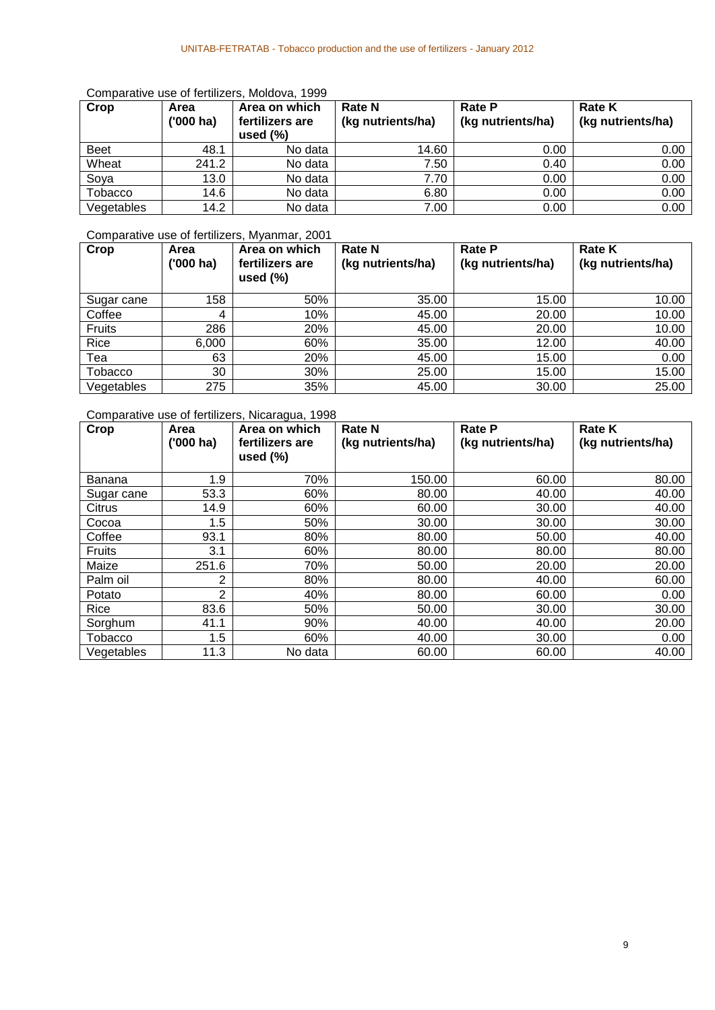| Crop        | Area<br>$(000)$ ha) | Area on which<br>fertilizers are<br>used $(\%)$ | <b>Rate N</b><br>(kg nutrients/ha) | <b>Rate P</b><br>(kg nutrients/ha) | <b>Rate K</b><br>(kg nutrients/ha) |
|-------------|---------------------|-------------------------------------------------|------------------------------------|------------------------------------|------------------------------------|
| <b>Beet</b> | 48.1                | No data                                         | 14.60                              | 0.00                               | 0.00                               |
| Wheat       | 241.2               | No data                                         | 7.50                               | 0.40                               | 0.00                               |
| Soya        | 13.0                | No data                                         | 7.70                               | 0.00                               | 0.00                               |
| Tobacco     | 14.6                | No data                                         | 6.80                               | 0.00                               | 0.00                               |
| Vegetables  | 14.2                | No data                                         | 7.00                               | 0.00                               | 0.00                               |

#### Comparative use of fertilizers, Moldova, 1999

# Comparative use of fertilizers, Myanmar, 2001

| Crop       | Area<br>$(000)$ ha) | Area on which<br>fertilizers are<br>used $(\%)$ | <b>Rate N</b><br>(kg nutrients/ha) | <b>Rate P</b><br>(kg nutrients/ha) | <b>Rate K</b><br>(kg nutrients/ha) |
|------------|---------------------|-------------------------------------------------|------------------------------------|------------------------------------|------------------------------------|
| Sugar cane | 158                 | 50%                                             | 35.00                              | 15.00                              | 10.00                              |
| Coffee     | 4                   | 10%                                             | 45.00                              | 20.00                              | 10.00                              |
| Fruits     | 286                 | 20%                                             | 45.00                              | 20.00                              | 10.00                              |
| Rice       | 6,000               | 60%                                             | 35.00                              | 12.00                              | 40.00                              |
| Tea        | 63                  | 20%                                             | 45.00                              | 15.00                              | 0.00                               |
| Tobacco    | 30                  | 30%                                             | 25.00                              | 15.00                              | 15.00                              |
| Vegetables | 275                 | 35%                                             | 45.00                              | 30.00                              | 25.00                              |

#### Comparative use of fertilizers, Nicaragua, 1998

| Crop           | Area<br>$(000)$ ha) | Area on which<br>fertilizers are<br>used $(\%)$ | <b>Rate N</b><br>(kg nutrients/ha) | <b>Rate P</b><br>(kg nutrients/ha) | <b>Rate K</b><br>(kg nutrients/ha) |
|----------------|---------------------|-------------------------------------------------|------------------------------------|------------------------------------|------------------------------------|
|                |                     |                                                 |                                    |                                    |                                    |
| Banana         | 1.9                 | 70%                                             | 150.00                             | 60.00                              | 80.00                              |
| Sugar cane     | 53.3                | 60%                                             | 80.00                              | 40.00                              | 40.00                              |
| Citrus         | 14.9                | 60%                                             | 60.00                              | 30.00                              | 40.00                              |
| Cocoa          | 1.5                 | 50%                                             | 30.00                              | 30.00                              | 30.00                              |
| Coffee         | 93.1                | 80%                                             | 80.00                              | 50.00                              | 40.00                              |
| <b>Fruits</b>  | 3.1                 | 60%                                             | 80.00                              | 80.00                              | 80.00                              |
| Maize          | 251.6               | 70%                                             | 50.00                              | 20.00                              | 20.00                              |
| Palm oil       | 2                   | 80%                                             | 80.00                              | 40.00                              | 60.00                              |
| Potato         | $\overline{2}$      | 40%                                             | 80.00                              | 60.00                              | 0.00                               |
| Rice           | 83.6                | 50%                                             | 50.00                              | 30.00                              | 30.00                              |
| Sorghum        | 41.1                | 90%                                             | 40.00                              | 40.00                              | 20.00                              |
| <b>Tobacco</b> | 1.5                 | 60%                                             | 40.00                              | 30.00                              | 0.00                               |
| Vegetables     | 11.3                | No data                                         | 60.00                              | 60.00                              | 40.00                              |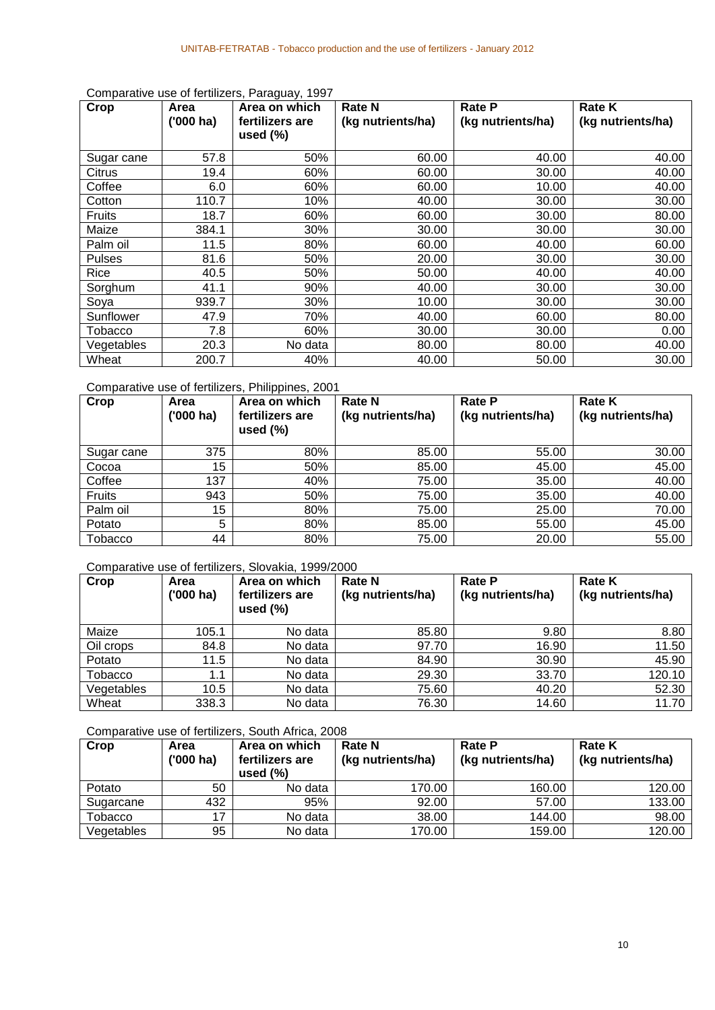| <b>Crop</b>   | Area<br>$(000)$ ha) | Area on which<br>fertilizers are<br>used $(\%)$ | <b>Rate N</b><br>(kg nutrients/ha) | <b>Rate P</b><br>(kg nutrients/ha) | <b>Rate K</b><br>(kg nutrients/ha) |
|---------------|---------------------|-------------------------------------------------|------------------------------------|------------------------------------|------------------------------------|
| Sugar cane    | 57.8                | 50%                                             | 60.00                              | 40.00                              | 40.00                              |
| Citrus        | 19.4                | 60%                                             | 60.00                              | 30.00                              | 40.00                              |
| Coffee        | 6.0                 | 60%                                             | 60.00                              | 10.00                              | 40.00                              |
| Cotton        | 110.7               | 10%                                             | 40.00                              | 30.00                              | 30.00                              |
| <b>Fruits</b> | 18.7                | 60%                                             | 60.00                              | 30.00                              | 80.00                              |
| Maize         | 384.1               | 30%                                             | 30.00                              | 30.00                              | 30.00                              |
| Palm oil      | 11.5                | 80%                                             | 60.00                              | 40.00                              | 60.00                              |
| <b>Pulses</b> | 81.6                | 50%                                             | 20.00                              | 30.00                              | 30.00                              |
| Rice          | 40.5                | 50%                                             | 50.00                              | 40.00                              | 40.00                              |
| Sorghum       | 41.1                | 90%                                             | 40.00                              | 30.00                              | 30.00                              |
| Soya          | 939.7               | 30%                                             | 10.00                              | 30.00                              | 30.00                              |
| Sunflower     | 47.9                | 70%                                             | 40.00                              | 60.00                              | 80.00                              |
| Tobacco       | 7.8                 | 60%                                             | 30.00                              | 30.00                              | 0.00                               |
| Vegetables    | 20.3                | No data                                         | 80.00                              | 80.00                              | 40.00                              |
| Wheat         | 200.7               | 40%                                             | 40.00                              | 50.00                              | 30.00                              |

#### Comparative use of fertilizers, Paraguay, 1997

#### Comparative use of fertilizers, Philippines, 2001

| Crop       | Area<br>$(000)$ ha) | Area on which<br>fertilizers are<br>used $(\%)$ | <b>Rate N</b><br>(kg nutrients/ha) | <b>Rate P</b><br>(kg nutrients/ha) | <b>Rate K</b><br>(kg nutrients/ha) |
|------------|---------------------|-------------------------------------------------|------------------------------------|------------------------------------|------------------------------------|
| Sugar cane | 375                 | 80%                                             | 85.00                              | 55.00                              | 30.00                              |
| Cocoa      | 15                  | 50%                                             | 85.00                              | 45.00                              | 45.00                              |
| Coffee     | 137                 | 40%                                             | 75.00                              | 35.00                              | 40.00                              |
| Fruits     | 943                 | 50%                                             | 75.00                              | 35.00                              | 40.00                              |
| Palm oil   | 15                  | 80%                                             | 75.00                              | 25.00                              | 70.00                              |
| Potato     | 5                   | 80%                                             | 85.00                              | 55.00                              | 45.00                              |
| Tobacco    | 44                  | 80%                                             | 75.00                              | 20.00                              | 55.00                              |

#### Comparative use of fertilizers, Slovakia, 1999/2000

| Crop           | Area<br>$(000)$ ha) | Area on which<br>fertilizers are<br>used $(\% )$ | <b>Rate N</b><br>(kg nutrients/ha) | <b>Rate P</b><br>(kg nutrients/ha) | <b>Rate K</b><br>(kg nutrients/ha) |
|----------------|---------------------|--------------------------------------------------|------------------------------------|------------------------------------|------------------------------------|
| Maize          | 105.1               | No data                                          | 85.80                              | 9.80                               | 8.80                               |
| Oil crops      | 84.8                | No data                                          | 97.70                              | 16.90                              | 11.50                              |
| Potato         | 11.5                | No data                                          | 84.90                              | 30.90                              | 45.90                              |
| <b>Tobacco</b> | 1.1                 | No data                                          | 29.30                              | 33.70                              | 120.10                             |
| Vegetables     | 10.5                | No data                                          | 75.60                              | 40.20                              | 52.30                              |
| Wheat          | 338.3               | No data                                          | 76.30                              | 14.60                              | 11.70                              |

#### Comparative use of fertilizers, South Africa, 2008

| Crop       | Area<br>$(000)$ ha) | Area on which<br>fertilizers are<br>used $(\%)$ | <b>Rate N</b><br>(kg nutrients/ha) | <b>Rate P</b><br>(kg nutrients/ha) | <b>Rate K</b><br>(kg nutrients/ha) |
|------------|---------------------|-------------------------------------------------|------------------------------------|------------------------------------|------------------------------------|
| Potato     | 50                  | No data                                         | 170.00                             | 160.00                             | 120.00                             |
| Sugarcane  | 432                 | 95%                                             | 92.00                              | 57.00                              | 133.00                             |
| Tobacco    | 17                  | No data                                         | 38.00                              | 144.00                             | 98.00                              |
| Vegetables | 95                  | No data                                         | 170.00                             | 159.00                             | 120.00                             |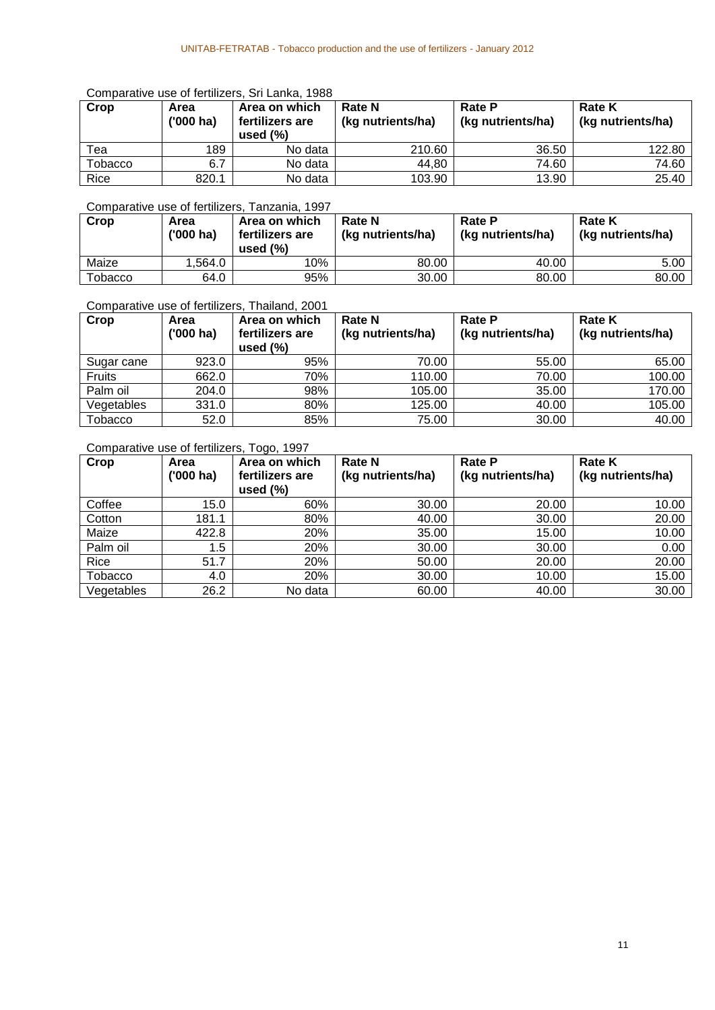#### Comparative use of fertilizers, Sri Lanka, 1988

| Crop    | Area<br>$(000)$ ha) | Area on which<br>fertilizers are<br>used $(\%)$ | <b>Rate N</b><br>(kg nutrients/ha) | <b>Rate P</b><br>(kg nutrients/ha) | <b>Rate K</b><br>(kg nutrients/ha) |
|---------|---------------------|-------------------------------------------------|------------------------------------|------------------------------------|------------------------------------|
| теа     | 189                 | No data                                         | 210.60                             | 36.50                              | 122.80                             |
| Tobacco | 6.7                 | No data                                         | 44,80                              | 74.60                              | 74.60                              |
| Rice    | 820.1               | No data                                         | 103.90                             | 13.90                              | 25.40                              |

#### Comparative use of fertilizers, Tanzania, 1997

| Crop          | Area<br>$(000)$ ha) | Area on which<br>fertilizers are<br>used $(\%)$ | <b>Rate N</b><br>(kg nutrients/ha) | <b>Rate P</b><br>(kg nutrients/ha) | <b>Rate K</b><br>(kg nutrients/ha) |
|---------------|---------------------|-------------------------------------------------|------------------------------------|------------------------------------|------------------------------------|
| Maize         | .564.0              | 10%                                             | 80.00                              | 40.00                              | 5.00                               |
| $\tau$ obacco | 64.0                | 95%                                             | 30.00                              | 80.00                              | 80.00                              |

#### Comparative use of fertilizers, Thailand, 2001

| Crop       | Area<br>$(000)$ ha) | Area on which<br>fertilizers are<br>used $(\%)$ | <b>Rate N</b><br>(kg nutrients/ha) | <b>Rate P</b><br>(kg nutrients/ha) | <b>Rate K</b><br>(kg nutrients/ha) |
|------------|---------------------|-------------------------------------------------|------------------------------------|------------------------------------|------------------------------------|
| Sugar cane | 923.0               | 95%                                             | 70.00                              | 55.00                              | 65.00                              |
| Fruits     | 662.0               | 70%                                             | 110.00                             | 70.00                              | 100.00                             |
| Palm oil   | 204.0               | 98%                                             | 105.00                             | 35.00                              | 170.00                             |
| Vegetables | 331.0               | 80%                                             | 125.00                             | 40.00                              | 105.00                             |
| Tobacco    | 52.0                | 85%                                             | 75.00                              | 30.00                              | 40.00                              |

### Comparative use of fertilizers, Togo, 1997

| Crop       | Area<br>$(000)$ ha) | Area on which<br>fertilizers are<br>used $(\%)$ | <b>Rate N</b><br>(kg nutrients/ha) | <b>Rate P</b><br>(kg nutrients/ha) | <b>Rate K</b><br>(kg nutrients/ha) |
|------------|---------------------|-------------------------------------------------|------------------------------------|------------------------------------|------------------------------------|
| Coffee     | 15.0                | 60%                                             | 30.00                              | 20.00                              | 10.00                              |
| Cotton     | 181.1               | 80%                                             | 40.00                              | 30.00                              | 20.00                              |
| Maize      | 422.8               | 20%                                             | 35.00                              | 15.00                              | 10.00                              |
| Palm oil   | 1.5                 | 20%                                             | 30.00                              | 30.00                              | 0.00                               |
| Rice       | 51.7                | 20%                                             | 50.00                              | 20.00                              | 20.00                              |
| Tobacco    | 4.0                 | 20%                                             | 30.00                              | 10.00                              | 15.00                              |
| Vegetables | 26.2                | No data                                         | 60.00                              | 40.00                              | 30.00                              |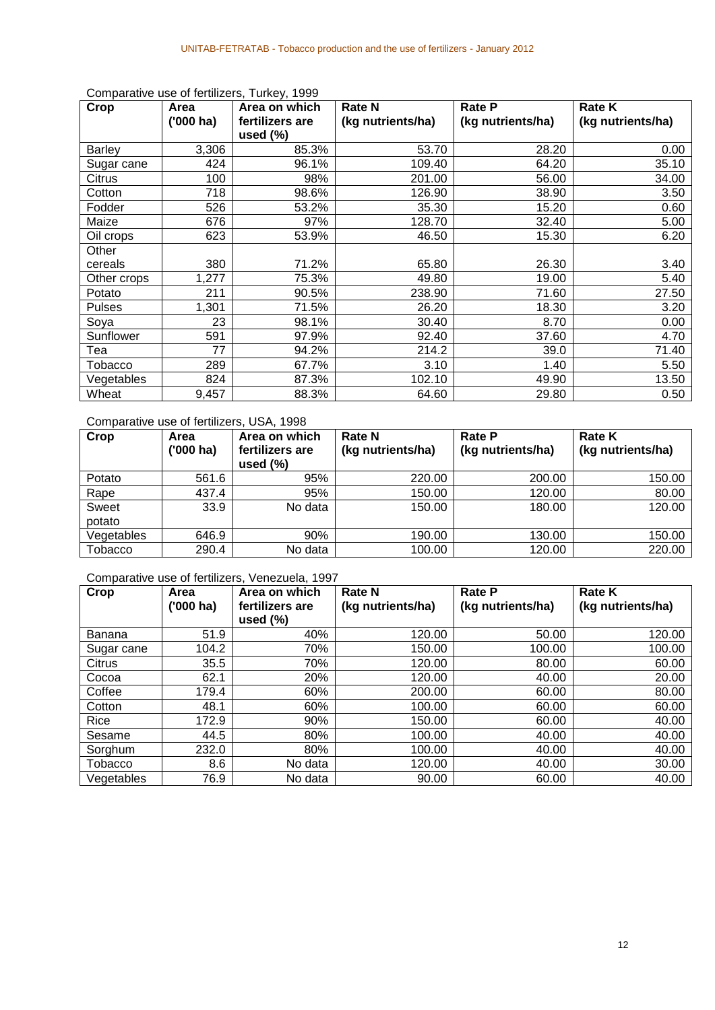| Crop          | Area      | Area on which   | <b>Rate N</b>     | <b>Rate P</b>     | <b>Rate K</b>     |
|---------------|-----------|-----------------|-------------------|-------------------|-------------------|
|               | ('000 ha) | fertilizers are | (kg nutrients/ha) | (kg nutrients/ha) | (kg nutrients/ha) |
|               |           | used $(\%)$     |                   |                   |                   |
| <b>Barley</b> | 3,306     | 85.3%           | 53.70             | 28.20             | 0.00              |
| Sugar cane    | 424       | 96.1%           | 109.40            | 64.20             | 35.10             |
| Citrus        | 100       | 98%             | 201.00            | 56.00             | 34.00             |
| Cotton        | 718       | 98.6%           | 126.90            | 38.90             | 3.50              |
| Fodder        | 526       | 53.2%           | 35.30             | 15.20             | 0.60              |
| Maize         | 676       | 97%             | 128.70            | 32.40             | 5.00              |
| Oil crops     | 623       | 53.9%           | 46.50             | 15.30             | 6.20              |
| Other         |           |                 |                   |                   |                   |
| cereals       | 380       | 71.2%           | 65.80             | 26.30             | 3.40              |
| Other crops   | 1,277     | 75.3%           | 49.80             | 19.00             | 5.40              |
| Potato        | 211       | 90.5%           | 238.90            | 71.60             | 27.50             |
| <b>Pulses</b> | 1,301     | 71.5%           | 26.20             | 18.30             | 3.20              |
| Soya          | 23        | 98.1%           | 30.40             | 8.70              | 0.00              |
| Sunflower     | 591       | 97.9%           | 92.40             | 37.60             | 4.70              |
| Tea           | 77        | 94.2%           | 214.2             | 39.0              | 71.40             |
| Tobacco       | 289       | 67.7%           | 3.10              | 1.40              | 5.50              |
| Vegetables    | 824       | 87.3%           | 102.10            | 49.90             | 13.50             |
| Wheat         | 9,457     | 88.3%           | 64.60             | 29.80             | 0.50              |

Comparative use of fertilizers, Turkey, 1999

### Comparative use of fertilizers, USA, 1998

| Crop            | Area<br>$(000)$ ha) | Area on which<br>fertilizers are<br>used $(\%)$ | <b>Rate N</b><br>(kg nutrients/ha) | <b>Rate P</b><br>(kg nutrients/ha) | <b>Rate K</b><br>(kg nutrients/ha) |
|-----------------|---------------------|-------------------------------------------------|------------------------------------|------------------------------------|------------------------------------|
| Potato          | 561.6               | 95%                                             | 220.00                             | 200.00                             | 150.00                             |
| Rape            | 437.4               | 95%                                             | 150.00                             | 120.00                             | 80.00                              |
| Sweet<br>potato | 33.9                | No data                                         | 150.00                             | 180.00                             | 120.00                             |
| Vegetables      | 646.9               | 90%                                             | 190.00                             | 130.00                             | 150.00                             |
| Tobacco         | 290.4               | No data                                         | 100.00                             | 120.00                             | 220.00                             |

### Comparative use of fertilizers, Venezuela, 1997

| Crop       | Area        | Area on which   | <b>Rate N</b>     | <b>Rate P</b>     | <b>Rate K</b>     |
|------------|-------------|-----------------|-------------------|-------------------|-------------------|
|            | $(000)$ ha) | fertilizers are | (kg nutrients/ha) | (kg nutrients/ha) | (kg nutrients/ha) |
|            |             | used $(\%)$     |                   |                   |                   |
| Banana     | 51.9        | 40%             | 120.00            | 50.00             | 120.00            |
| Sugar cane | 104.2       | 70%             | 150.00            | 100.00            | 100.00            |
| Citrus     | 35.5        | 70%             | 120.00            | 80.00             | 60.00             |
| Cocoa      | 62.1        | 20%             | 120.00            | 40.00             | 20.00             |
| Coffee     | 179.4       | 60%             | 200.00            | 60.00             | 80.00             |
| Cotton     | 48.1        | 60%             | 100.00            | 60.00             | 60.00             |
| Rice       | 172.9       | 90%             | 150.00            | 60.00             | 40.00             |
| Sesame     | 44.5        | 80%             | 100.00            | 40.00             | 40.00             |
| Sorghum    | 232.0       | 80%             | 100.00            | 40.00             | 40.00             |
| Tobacco    | 8.6         | No data         | 120.00            | 40.00             | 30.00             |
| Vegetables | 76.9        | No data         | 90.00             | 60.00             | 40.00             |